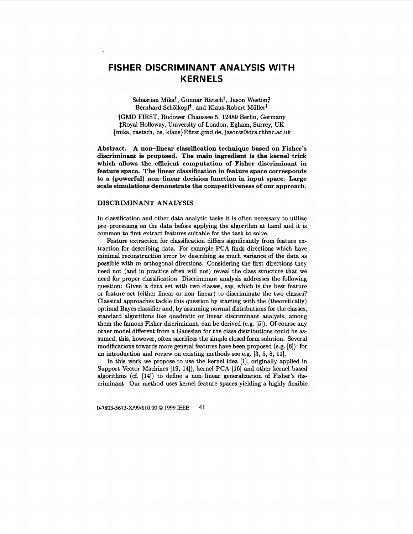# **FISHER DISCRIMINANT ANALYSIS WITH KERNELS**

Sebastian Mika<sup>†</sup>, Gunnar Rätsch<sup>†</sup>, Jason Weston<sup>†</sup> Bernhard Schölkopf<sup>†</sup>, and Klaus-Robert Müller<sup>†</sup>

tGMD FIRST, Rudower Chaussee **5, 12489** Berlin, Germany \$Royal Holloway, University of London, Egham, Surrey, UK {mika, raetsch, bs, [klaus}@first.gmd.de](mailto:klaus}@first.gmd.de)[, jasonw@dcs.rhbnc.ac.uk](mailto:jasonw@dcs.rhbnc.ac.uk)

Abstract. A non-linear classification technique based on Fisher's **discriminant is proposed. The main ingredient is the kernel trick which allows the efficient computation of Fisher discriminant in feature space. The linear classification in feature space corresponds to a (powerful) non-linear decision function in input space. Large scale simulations demonstrate the competitiveness of our approach.** 

#### **DISCRIMINANT ANALYSIS**

In classification and other data analytic tasks it is often necessary to utilize pre-processing on the data before applying the algorithm at hand and it is common to first extract features suitable for the task to solve.

Feature extraction for classification differs significantly from feature extraction for describing data. For example PCA finds directions which have minimal reconstruction error by describing **as** much variance of the data **as**  possible with m orthogonal directions. Considering the first directions they need not (and in practice often will not) reveal the class structure that we need for proper classification. Discriminant analysis addresses the following question: Given a data set with two classes, say, which is the best feature or feature set (either linear or non-linear) to discriminate the two classes? Classical approaches tackle this question by starting with the (theoretically) optimal Bayes classifier and, by assuming normal distributions for the classes, standard algorithms like quadratic or linear discriminant analysis, among them the famous Fisher discriminant, can be derived (e.g. **[5]).** Of course any other model different from a Gaussian for the class distributions could be **as**sumed, this, however, often sacrifices the simple closed form solution. Several modifications towards more general features have been proposed (e.g. **[SI);** for an introduction and review on existing methods see e.g. **[3, 5, 8, 111.** 

In this work we propose to use the kernel idea **[l],** originally applied in Support Vector Machines **[19, 14]),** kernel PCA **[16]** and other kernel based algorithms (cf. **[14])** to define a non-linear generalization of Fisher's **dis**criminant. Our method uses kernel feature spaces yielding a highly flexible

**0-7803-5673-X/99/\$10.00** *0* **1999 IEEE 41**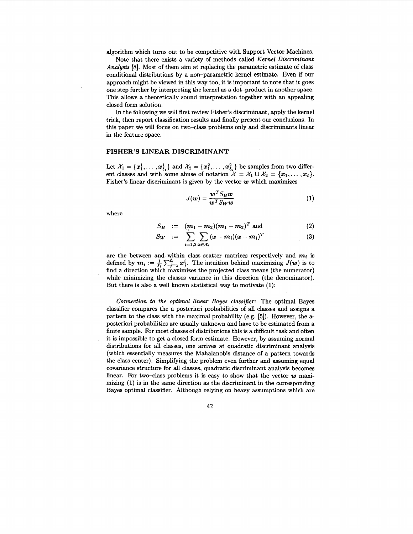algorithm which turns out to be competitive with Support Vector Machines.

Note that there exists a variety of methods called *Kernel Discriminant Analysis* **[8].** Most of them aim at replacing the parametric estimate of class conditional distributions by a non-parametric kernel estimate. Even if our approach might be viewed in this way too, it is important to note that it goes one step further by interpreting the kernel **as** a dot-product in another space. This allows a theoretically sound interpretation together with an appealing closed form solution.

In the following we will first review Fisher's discriminant, apply the kernel trick, then report classification results and finally present our conclusions. In this paper we will focus on two-class problems only and discriminants linear in the feature space.

## **FISHER'S LINEAR DISCRIMINANT**

Let  $\mathcal{X}_1 = \{x_1^1, \ldots, x_{\ell_1}^1\}$  and  $\mathcal{X}_2 = \{x_1^2, \ldots, x_{\ell_2}^2\}$  be samples from two different classes and with some abuse of notation  $\mathcal{X} = \mathcal{X}_1 \cup \mathcal{X}_2 = \{x_1, \ldots, x_\ell\}.$ Fisher's linear discriminant is given by the vector  $w$  which maximizes

$$
J(w) = \frac{w^T S_B w}{w^T S_W w} \tag{1}
$$

where

$$
S_B := (m_1 - m_2)(m_1 - m_2)^T \text{ and } (2)
$$

$$
S_W := \sum_{i=1,2} \sum_{\boldsymbol{x} \in \mathcal{X}_i} (\boldsymbol{x} - \boldsymbol{m}_i)(\boldsymbol{x} - \boldsymbol{m}_i)^T
$$
(3)

are the between and within class scatter matrices respectively and  $m_i$  is defined by  $m_i := \frac{1}{L} \sum_{i=1}^{l_i} x_i^i$ . The intuition behind maximizing  $J(w)$  is to find a direction which maximizes the projected class means (the numerator) while minimizing the classes variance in this direction (the denominator). But there is also a well known statistical way to motivate **(1):** 

*Connection to the optimal linear Bayes classifier:* The optimal Bayes classifier compares the a posteriori probabilities of all classes and assigns a pattern to the class with the maximal probability (e.g. **[5]).** However, the aposteriori probabilities are usually unknown and have to be estimated from a finite sample. For most classes of distributions this is a difficult task and often it is impossible to get a closed form estimate. However, by assuming normal distributions for all classes, one arrives at quadratic discriminant analysis (which essentially .measures the Mahalanobis distance of a pattern towards the class center). Simplifying the problem even further and assuming equal covariance structure for all classes, quadratic discriminant analysis becomes linear. For two-class problems it is easy to show that the vector *w* maximizing *(1)* is in the same direction **as** the discriminant in the corresponding Bayes optimal classifier. Although relying on heavy assumptions which are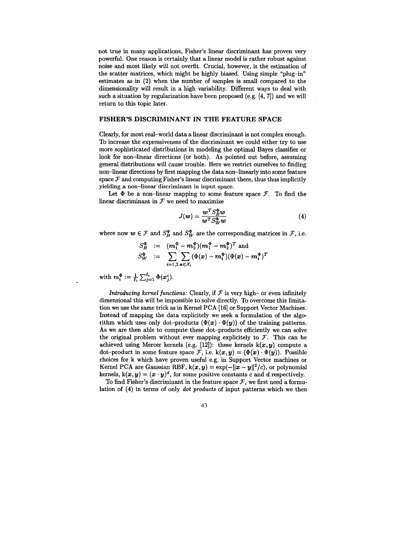not true in many applications, Fisher's linear discriminant has proven very powerful. One reason is certainly that a linear model **is** rather robust against noise and most likely will not overfit. Crucial, however, is the estimation of the scatter matrices, which might be highly biased. Using simple "plug-in" estimates **as** in **(2)** when the number of samples is small compared to the dimensionality will result in a high variability. Different ways to deal with such a situation by regularization have been proposed (e.g. **[4, 71)** and we will return to this topic later.

#### **FISHER'S DISCRIMINANT IN THE FEATURE SPACE**

Clearly, for most real-world data a linear discriminant is not complex enough. To increase the expressiveness of the discriminant we could either try to use more sophisticated distributions in modeling the optimal Bayes classifier or look for non-linear directions (or both). **As** pointed out before, assuming general distributions will cause trouble. Here we restrict ourselves to finding non-linear directions by first mapping the data non-linearly into some feature space  $\mathcal F$  and computing Fisher's linear discriminant there, thus thus implicitly yielding a non-linear discriminant in input space.

Let  $\Phi$  be a non-linear mapping to some feature space  $\mathcal{F}$ . To find the linear discriminant in  $\mathcal F$  we need to maximize

$$
J(w) = \frac{w^T S_B^{\Phi} w}{w^T S_W^{\Phi} w}
$$
(4)

where now  $w \in \mathcal{F}$  and  $S_B^{\Phi}$  and  $S_W^{\Phi}$  are the corresponding matrices in  $\mathcal{F}$ , i.e.

$$
S_{\mathcal{W}}^{\Phi} := (m_1^{\Phi} - m_2^{\Phi})(m_1^{\Phi} - m_2^{\Phi})^T \text{ and}
$$
  

$$
S_{\mathcal{W}}^{\Phi} := \sum_{i=1,2} \sum_{\mathbf{x} \in \mathcal{X}_i} (\Phi(\mathbf{x}) - m_i^{\Phi})(\Phi(\mathbf{x}) - m_i^{\Phi})^T
$$

with  $m_i^{\Phi} := \frac{1}{l_i} \sum_{i=1}^{l_i} \Phi(x_i^i)$ .

*Introducing kernel functions:* Clearly, if  $F$  is very high- or even infinitely dimensional this will be impossible to solve directly. To overcome this limitation we use the same trick **as** in Kernel PCA **[16]** or Support Vector Machines. Instead of mapping the data explicitely we seek a formulation of the algorithm which uses only dot-products  $(\Phi(x) \cdot \Phi(y))$  of the training patterns. **As** we are then able to compute these dot-products efficiently we can solve the original problem without ever mapping explicitely to  $F$ . This can be achieved using Mercer kernels (e.g.  $[12]$ ): these kernels  $k(x, y)$  compute a dot-product in some feature space  $\mathcal{F}$ , i.e.  $k(x, y) = (\Phi(x) \cdot \Phi(y))$ . Possible choices for k which have proven useful e.g. in Support Vector machines or Kernel PCA are Gaussian RBF,  $k(x, y) = exp(-||x - y||^2/c)$ , or polynomial kernels,  $k(x, y) = (x \cdot y)^d$ , for some positive constants *c* and *d* respectively.

To find Fisher's discriminant in the feature space  $\mathcal{F}$ , we first need a formulation of **(4)** in terms of only *dot products* of input patterns which we then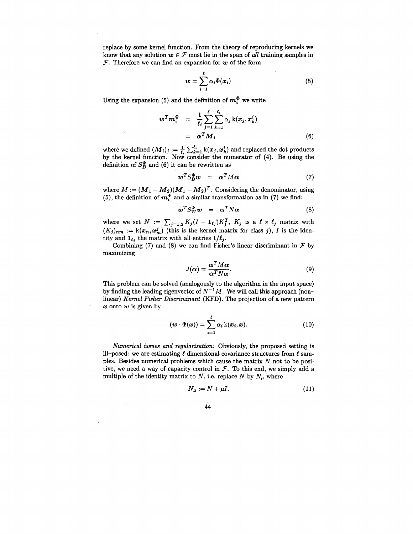replace by some kernel function. From the theory of reproducing kernels we know that any solution  $w \in \mathcal{F}$  must lie in the span of *all* training samples in  $F$ . Therefore we can find an expansion for  $w$  of the form

$$
w = \sum_{i=1}^{\ell} \alpha_i \Phi(x_i) \tag{5}
$$

Using the expansion (5) and the definition of  $m_i^{\Phi}$  we write

$$
w^T m_i^{\Phi} = \frac{1}{\ell_i} \sum_{j=1}^{\ell} \sum_{k=1}^{\ell_i} \alpha_j k(x_j, x_k^i)
$$
  
=  $\alpha^T M_i$  (6)

where we defined  $(M_i)_j := \frac{1}{\ell_i} \sum_{k=1}^{\ell_i} k(x_j, x_k^i)$  and replaced the dot products by the kernel function. Now consider the numerator of **(4).** Be using the definition of  $S_R^{\Phi}$  and (6) it can be rewritten as

$$
\boldsymbol{w}^T S_B^{\Phi} \boldsymbol{w} = \boldsymbol{\alpha}^T M \boldsymbol{\alpha} \tag{7}
$$

where  $M := (M_1 - M_2)(M_1 - M_2)^T$ . Considering the denominator, using (5), the definition of  $m_i^{\Phi}$  and a similar transformation as in (7) we find:

$$
\boldsymbol{w}^T S_{\boldsymbol{W}}^{\Phi} \boldsymbol{w} = \boldsymbol{\alpha}^T N \boldsymbol{\alpha} \tag{8}
$$

where we set  $N := \sum_{j=1,2}^N K_j(I - \mathbf{1}_{\ell_j})K_j^T$ ,  $K_j$  is a  $\ell \times \ell_j$  matrix with  $(K_j)_{nm} := k(x_n, x_m^j)$  (this is the kernel matrix for class *j*), *I* is the identity and  $\mathbf{1}_{\ell_j}$  the matrix with all entries  $1/\ell_j$ .  $K_j(I - 1_{\ell_j})K_j^T$ ,  $K_j$  is a  $\ell \times \ell_j$  matrix with<br>the kernel matrix for class *j*), *I* is the iden-<br>ull entries  $1/\ell_j$ .<br>can find Fisher's linear discriminant in *F* by<br> $J(\alpha) = \frac{\alpha^T M \alpha}{\alpha^T N \alpha}$ . (9)<br>nalogously to the al

Combining (7) and (8) we can find Fisher's linear discriminant in  $\mathcal F$  by maximizing

$$
J(\alpha) = \frac{\alpha^T M \alpha}{\alpha^T N \alpha}.
$$
 (9)

This problem can be solved (analogously to the algorithm in the input space) by finding the leading eigenvector of  $N^{-1}M$ . We will call this approach (nonlinear) *Kernel Fisher Discriminant* **(KFD).** The projection of a new pattern *x* onto w is given by

$$
(\boldsymbol{w} \cdot \boldsymbol{\Phi}(\boldsymbol{x})) = \sum_{i=1}^{\ell} \alpha_i \mathbf{k}(\boldsymbol{x}_i, \boldsymbol{x}). \tag{10}
$$

*Numerical issues and regularization:* Obviously, the proposed setting is ill-posed: we are estimating  $\ell$  dimensional covariance structures from  $\ell$  samples. Besides numerical problems which cause the matrix *N* not to be positive, we need a way of capacity control in  $\mathcal F$ . To this end, we simply add a multiple of the identity matrix to *N*, i.e. replace *N* by  $N_{\mu}$  where

$$
N_{\mu} := N + \mu I. \tag{11}
$$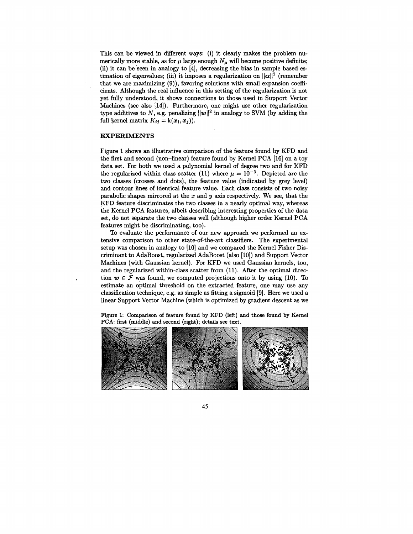This can be viewed in different ways: (i) it clearly makes the problem numerically more stable, as for  $\mu$  large enough  $N_{\mu}$  will become positive definite; (ii) it can be 'seen in analogy to **[4],** decreasing the bias in sample based estimation of eigenvalues; (iii) it imposes a regularization on  $||\alpha||^2$  (remember that we are maximizing **(9)),** favoring solutions with small expansion coefficients. Although the real influence in this setting of the regularization is not yet fully understood, it shows connections to those used in Support Vector Machines (see also **[14]).** Furthermore, one might use other regularization type additives to N, e.g. penalizing  $||w||^2$  in analogy to SVM (by adding the full kernel matrix  $K_{ij} = k(x_i, x_j)$ .

## **EXPERIMENTS**

Figure **1** shows an illustrative comparison of the feature found by KFD and the first and second (non-linear) feature found by Kernel PCA **[16]** on a toy data set. For both we used a polynomial kernel of degree two and for KFD the regularized within class scatter (11) where  $\mu = 10^{-3}$ . Depicted are the two classes (crosses and dots), the feature value (indicated by grey level) and contour lines of identical feature value. **Each** class consists of two noisy parabolic shapes mirrored at the *x* and *9* axis respectively. We see, that the KFD feature discriminates the two classes in a nearly optimal way, whereas the Kernel PCA features, albeit describing interesting properties of the data set, do not separate the two classes well (although higher order Kernel PCA features might be discriminating, too).

To evaluate the performance of our new approach we performed an extensive comparison to other state-of-the-art classifiers. The experimental setup was chosen in analogy to **[lo]** and we compared the Kernel Fisher Discriminant to AdaBoost, regularized AdaBoost (also **[lo])** and Support Vector Machines (with Gaussian kernel). For KFD we used Gaussian kernels, too, and the regularized within-class scatter from **(11).** After the optimal direction  $w \in \mathcal{F}$  was found, we computed projections onto it by using (10). To estimate an optimal threshold on the extracted feature, one may use any classification technique, e.g. **as** simple **as** fitting a sigmoid **[9].** Here we used a linear Support Vector Machine (which is optimized by gradient descent **as** we

**Figure 1: Comparison of feature found** by **KFD (left) and those found** by **Kernel PCA: first (middle) and second (right); details see text.** 

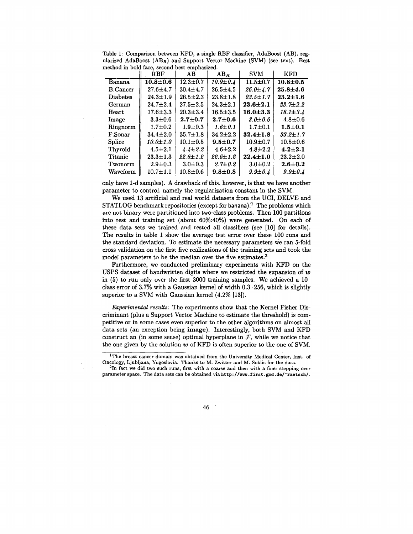| псецой ні роки касе, всебни реве спірназівси. |                |                |                |                |                |
|-----------------------------------------------|----------------|----------------|----------------|----------------|----------------|
|                                               | <b>RBF</b>     | AВ             | $AB_B$         | <b>SVM</b>     | <b>KFD</b>     |
| Banana                                        | $10.8 + 0.6$   | $12.3 \pm 0.7$ | $10.9 \pm 0.4$ | $11.5 \pm 0.7$ | $10.8 + 0.5$   |
| <b>B.Cancer</b>                               | $27.6 + 4.7$   | $30.4 + 4.7$   | $26.5 \pm 4.5$ | $26.0 \pm 4.7$ | $25.8 + 4.6$   |
| <b>Diabetes</b>                               | $24.3 \pm 1.9$ | $26.5 \pm 2.3$ | $23.8 \pm 1.8$ | $23.5 \pm 1.7$ | $23.2 \pm 1.6$ |
| German                                        | $24.7 \pm 2.4$ | $27.5 \pm 2.5$ | $24.3 \pm 2.1$ | $23.6 \pm 2.1$ | $23.7 \pm 2.2$ |
| Heart                                         | $17.6 \pm 3.3$ | $20.3 \pm 3.4$ | $16.5 \pm 3.5$ | $16.0 \pm 3.3$ | $16.1 \pm 3.4$ |
| Image                                         | $3.3 \pm 0.6$  | $2.7 + 0.7$    | $2.7 \pm 0.6$  | $3.0 + 0.6$    | $4.8 \pm 0.6$  |
| Ringnorm                                      | $1.7 \pm 0.2$  | $1.9 + 0.3$    | $1.6 \pm 0.1$  | $1.7 \pm 0.1$  | $1.5 + 0.1$    |
| F.Sonar                                       | $34.4 \pm 2.0$ | $35.7 \pm 1.8$ | $34.2 \pm 2.2$ | $32.4 \pm 1.8$ | $33.2 \pm 1.7$ |
| <b>Splice</b>                                 | $10.0 \pm 1.0$ | $10.1 \pm 0.5$ | $9.5 \pm 0.7$  | $10.9 + 0.7$   | $10.5 \pm 0.6$ |
| Thyroid                                       | $4.5 \pm 2.1$  | $4.4 \pm 2.2$  | $4.6 \pm 2.2$  | $4.8 \pm 2.2$  | $4.2 \pm 2.1$  |
| Titanic                                       | $23.3 \pm 1.3$ | $22.6 \pm 1.2$ | $22.6 \pm 1.2$ | $22.4 \pm 1.0$ | $23.2 \pm 2.0$ |
| Twonorm                                       | $2.9 \pm 0.3$  | $3.0 + 0.3$    | $2.7 \pm 0.2$  | $3.0 + 0.2$    | $2.6 \pm 0.2$  |
| <b>Waveform</b>                               | $10.7 + 1.1$   | $10.8 + 0.6$   | $9.8 + 0.8$    | $9.9 \pm 0.4$  | $9.9 \pm 0.4$  |
|                                               |                |                |                |                |                |

Table **1:** Comparison between KFD, a single RBF classifier, AdaBoost (AB), regularized AdaBoost  $(AB_R)$  and Support Vector Machine (SVM) (see text). Best  $m$ ethod in bold face. second best emphasized.

only have l-d samples). **A** drawback of this, however, is that we have another parameter to control, namely the regularization constant in the **SVM.** 

We used **13** artificial and real world datasets from the UCI, DELVE and STATLOG benchmark repositories (except for **banana).'l** The problems which are not binary were partitioned into two-class problems. Then **100** partitions into test and training set (about **60%:40%)** were generated. On each of these data sets we trained and tested all classifiers (see **[lo]** for details). The results in table **1** show the average test error over these **100** runs and the standard deviation. To estimate the necessary parameters we ran 5-fold cross validation on the first five realizations of the training sets and took the model parameters to be the median over the five estimates.2

Furthermore, we conducted preliminary experiments with KFD on the USPS dataset of handwritten digits where we restricted the expansion of  $w$ in **(5)** to run only over the first **3000** training samples. We achieved a **10**  class error of **3.7%** with a Gaussian kernel of width **0.3.256,** which is slightly superior to a SVM with Gaussian kernel **(4.2% [13]).** 

*Experimental results:* The experiments show that the Kernel Fisher Discriminant (plus a Support Vector Machine to estimate the threshold) is competitive or in some cases even superior to the other algorithms on almost all data sets (an exception being **image).** Interestingly, both SVM and KFD construct **an** (in some sense) optimal hyperplane in *F,* while we notice that the one given by the solution  $w$  of KFD is often superior to the one of SVM.

**<sup>21</sup>n fact we did two such runs, first with a coarse and then with a finer stepping over**  parameter space. The data sets can be obtained via http://www.first.gmd.de/"raetsch/.



**<sup>&#</sup>x27;The breast cancer domain was obtained from the University Medical Center, Inst. of Oncology, Ljubljana, Yugoslavia. Thanks to M. Zwitter and M. Soklic for the data.**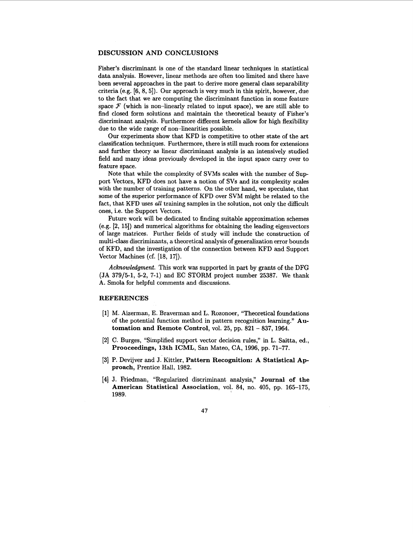# **DISCUSSION AND CONCLUSIONS**

Fisher's discriminant is one of the standard linear techniques in statistical data analysis. However, linear methods are often too limited and there have been several approaches in the past to derive more general class separability criteria (e.g. **[6, 8, 51).** Our approach is very much in this spirit, however, due to the fact that we are computing the discriminant function in some feature space  $F$  (which is non-linearly related to input space), we are still able to find closed form solutions and maintain the theoretical beauty of Fisher's discriminant analysis. Furthermore different kernels allow for high flexibility due to the wide range of non-linearities possible.

Our experiments show that KFD is competitive to other state of the art classification techniques. Furthermore, there is still much room for extensions and further theory **as** linear discriminant analysis is an intensively studied field and many ideas previously developed in the input space carry over to feature space.

Note that while the complexity of SVMs scales with the number of Support Vectors, KFD does not have a notion of SVs and its complexity scales with the number of training patterns. On the other hand, we speculate, that some of the superior performance of KFD over SVM might be related to the fact, that KFD uses *all* training samples in the solution, not only the difficult ones, i.e. the Support Vectors.

Future work will be dedicated to finding suitable approximation schemes (e.g. **[2, 151)** and numerical algorithms for obtaining the leading eigenvectors of large matrices. Further fields of study will include the construction of multi-class discriminants, a theoretical analysis of generalization error bounds of KFD, and the investigation of the connection between KFD and Support Vector Machines (cf. **[18, 171).** 

*Acknowledgment.* This work was supported in part by grants of the DFG (JA **379/5-1, 5-2, 7-1)** and EC STORM project number **25387.** We thank A. Smola for helpful comments and discussions.

### **REFERENCES**

- **[l]** M. Aizerman, E. Braverman and **L.** Rozonoer, ''Theoretical foundations of the potential function method in pattern recognition learning." **Automation and Remote Control,** vol. **25,** pp. **821** - **837, 1964.**
- **[2] C.** Burges, "Simplified support vector decision rules," in L. Saitta, ed., **Prooceedings, 13th ICML,** San Mateo, CA, **1996,** pp. **71-77.**
- **[3] P.** Devijver and J. Kittler, **Pattern Recognition: A Statistical Approach,** prentice Hall, **1982.**
- **[4]** J. Friedman, "Regularized discriminant analysis," **Journal of the**  American Statistical Association, vol. 84, no. 405, pp. 165-175, **1989.**